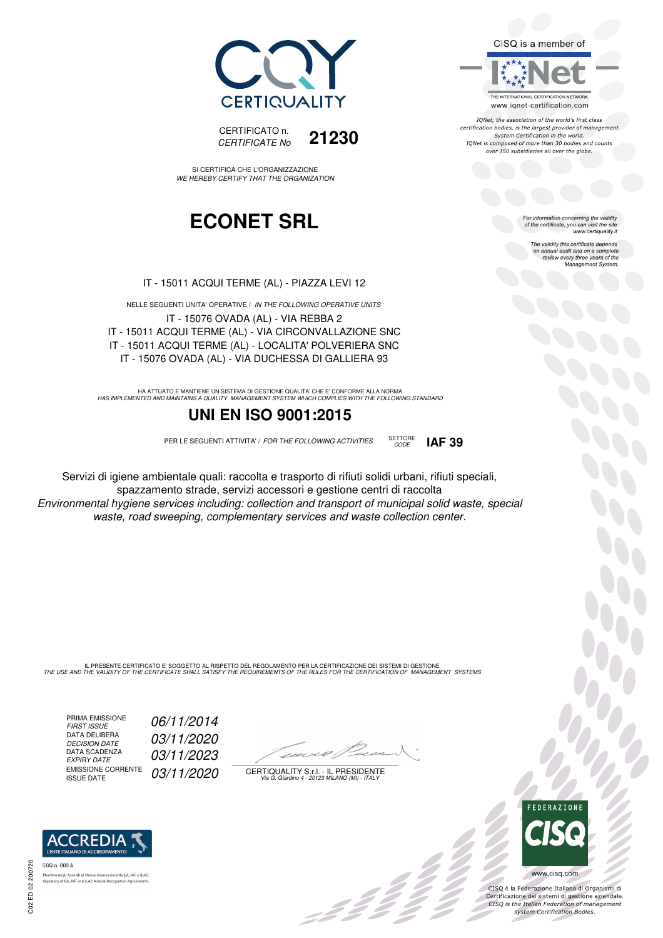CISQ is a member of



IONet, the association of the world's first class certification bodies, is the largest provider of management System Certification in the world. IQNet is composed of more than 30 bodies and counts over 150 subsidiaries all over the globe.

For information concerning the validity<br>of the certificate, you can visit the site<br>www.certiquality.it

The validity this certificate depends on annual audit and on a complete review every three years of the Management System.



CERTIFICATO n. *CERTIFICATE No* **21230**

SI CERTIFICA CHE L'ORGANIZZAZIONE *WE HEREBY CERTIFY THAT THE ORGANIZATION*

## **ECONET SRL**

IT - 15011 ACQUI TERME (AL) - PIAZZA LEVI 12

NELLE SEGUENTI UNITA' OPERATIVE / *IN THE FOLLOWING OPERATIVE UNITS* IT - 15076 OVADA (AL) - VIA REBBA 2 IT - 15011 ACQUI TERME (AL) - VIA CIRCONVALLAZIONE SNC IT - 15011 ACQUI TERME (AL) - LOCALITA' POLVERIERA SNC IT - 15076 OVADA (AL) - VIA DUCHESSA DI GALLIERA 93

HA ATTUATO E MANTIENE UN SISTEMA DI GESTIONE QUALITA' CHE E' CONFORME ALLA NORMA<br>HAS IMPLEMENTED AND MAINTAINS A QUALITY MANAGEMENT SYSTEM WHICH COMPLIES WITH THE FOLLOWING STANDARD

### **UNI EN ISO 9001:2015**

PER LE SEGUENTI ATTIVITA' / *FOR THE FOLLOWING ACTIVITIES* SETTORE



Servizi di igiene ambientale quali: raccolta e trasporto di rifiuti solidi urbani, rifiuti speciali, spazzamento strade, servizi accessori e gestione centri di raccolta *Environmental hygiene services including: collection and transport of municipal solid waste, special waste, road sweeping, complementary services and waste collection center.*

IL PRESENTE CERTIFICATO E' SOGGETTO AL RISPETTO DEL REGOLAMENTO PER LA CERTIFICAZIONE DEI SISTEMI DI GESTIONE<br>THE USE AND THE VALIDITY OF THE CERTIFICATE SHALL SATISFY THE REQUIREMENTS OF THE RULES FOR THE CERTIFICATION OF

PRIMA EMISSIONE<br>FIRST ISSUE DATA DELIBERA<br>DECISION DATE DATA SCADENZA<br>EXPIRY DATE EMISSIONE CORRENTE<br>ISSUE DATE

*FIRST ISSUE 06/11/2014 DECISION DATE 03/11/2020 EXPIRY DATE 03/11/2023* 03/11/2020

 $\overline{\phantom{a}}$ 

:42

CERTIQUALITY S.r.l. - IL PRESIDENTE *Via G. Giardino 4 - 20123 MILANO (MI) - ITALY*



 $\frac{1}{2}$ 

CISQ è la Federazione Italiana di Organismi di Certificazione dei sistemi di gestione aziendale.<br>CISQ is the Italian Federation of management system Certification Bodies.



tory of EA, IAF and ILAC Mutual Recognit